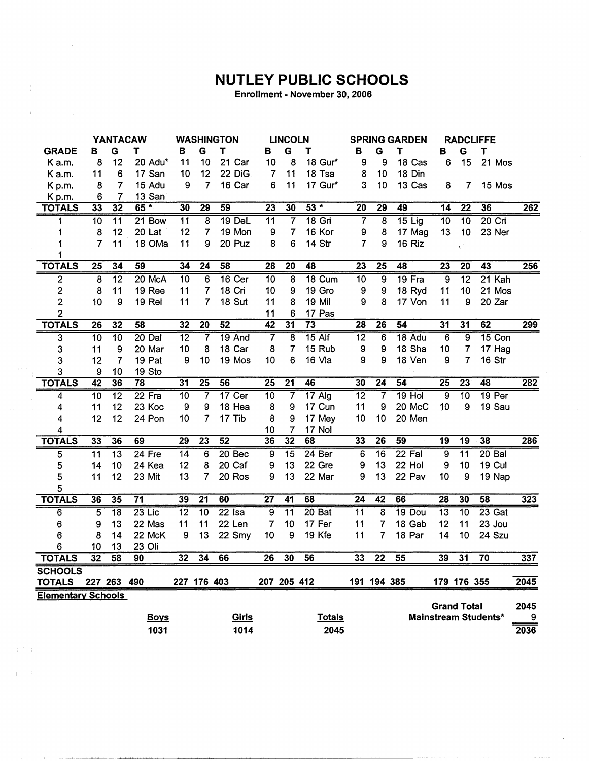## **NUTLEY PUBLIC SCHOOLS**

Enrollment - November 30, 2006

|                           |                 |                 | <b>YANTACAW</b> |                 |                 | <b>WASHINGTON</b> |                 | <b>LINCOLN</b>          |                   | <b>SPRING GARDEN</b> |                         |                 | <b>RADCLIFFE</b>   |                 |                             |                  |
|---------------------------|-----------------|-----------------|-----------------|-----------------|-----------------|-------------------|-----------------|-------------------------|-------------------|----------------------|-------------------------|-----------------|--------------------|-----------------|-----------------------------|------------------|
| <b>GRADE</b>              | в               | G               | т               | в               | G               | T                 | в               | G                       | т                 | в                    | G                       | т               | в                  | G               | T                           |                  |
| K a.m.                    | 8               | 12              | 20 Adu*         | 11              | 10              | 21 Car            | 10              | 8                       | 18 Gur*           | 9                    | 9                       | 18 Cas          | 6                  | 15              | 21 Mos                      |                  |
| K a.m.                    | 11              | 6               | 17 San          | 10              | 12              | 22 DiG            | 7               | 11                      | 18 Tsa            | 8                    | 10                      | 18 Din          |                    |                 |                             |                  |
| K p.m.                    | 8               | $\overline{7}$  | 15 Adu          | 9               | $\overline{7}$  | 16 Car            | 6               | 11                      | 17 Gur*           | 3                    | 10                      | 13 Cas          | 8                  | 7               | 15 Mos                      |                  |
| Kp.m.                     | 6               | 7               | 13 San          |                 |                 |                   |                 |                         |                   |                      |                         |                 |                    |                 |                             |                  |
| <b>TOTALS</b>             | 33              | $\overline{32}$ | $65*$           | 30              | $\overline{29}$ | 59                | $\overline{23}$ | 30                      | $53*$             | $\overline{20}$      | $\overline{29}$         | 49              | $\overline{14}$    | $\overline{22}$ | 36                          | 262              |
| 1                         | $\overline{10}$ | $\overline{11}$ | 21 Bow          | $\overline{11}$ | $\overline{8}$  | 19 DeL            | $\overline{11}$ | $\overline{\mathbf{7}}$ | $18$ Gri          | $\overline{7}$       | $\overline{\mathbf{8}}$ | $15$ Lig        | $\overline{10}$    | 10              | $20$ Cri                    |                  |
| 1                         | 8               | 12              | 20 Lat          | 12              | $\overline{7}$  | 19 Mon            | 9               | $\overline{\mathbf{7}}$ | 16 Kor            | 9                    | 8                       | 17 Mag          | 13                 | 10              | 23 Ner                      |                  |
| 1                         | $\overline{7}$  | 11              | 18 OMa          | 11              | 9               | 20 Puz            | 8               | 6                       | 14 Str            | $\overline{7}$       | 9                       | 16 Riz          |                    | έÊ,             |                             |                  |
| 1                         |                 |                 |                 |                 |                 |                   |                 |                         |                   |                      |                         |                 |                    |                 |                             |                  |
| <b>TOTALS</b>             | $\overline{25}$ | $\overline{34}$ | 59              | $\overline{34}$ | $\overline{24}$ | 58                | $\overline{28}$ | $\overline{20}$         | 48                | $\overline{23}$      | $\overline{25}$         | 48              | $\overline{23}$    | $\overline{20}$ | $\overline{43}$             | 256              |
| $\overline{2}$            | $\overline{8}$  | $\overline{12}$ | 20 McA          | 10              | 6               | 16 Cer            | $\overline{10}$ | $\overline{\mathbf{8}}$ | 18 Cum            | 10                   | $\overline{9}$          | 19 Fra          | $\overline{9}$     | $\overline{12}$ | 21 Kah                      |                  |
| $\overline{c}$            | 8               | 11              | 19 Ree          | 11              | 7               | 18 Cri            | 10              | 9                       | 19 Gro            | 9                    | 9                       | 18 Ryd          | 11                 | 10              | 21 Mos                      |                  |
| $\overline{c}$            | 10              | 9               | 19 Rei          | 11              | 7               | 18 Sut            | 11              | 8                       | 19 Mil            | 9                    | 8                       | 17 Von          | 11                 | 9               | 20 Zar                      |                  |
| $\overline{\mathbf{c}}$   |                 |                 |                 |                 |                 |                   | 11              | 6                       | 17 Pas            |                      |                         |                 |                    |                 |                             |                  |
| <b>TOTALS</b>             | 26              | $\overline{32}$ | 58              | 32              | $\overline{20}$ | 52                | $\overline{42}$ | $\overline{31}$         | $\overline{73}$   | $\overline{28}$      | $\overline{26}$         | 54              | 31                 | $\overline{31}$ | 62                          | 299              |
| $\overline{\mathbf{3}}$   | $\overline{10}$ | $\overline{10}$ | 20 Dal          | $\overline{12}$ | 7               | 19 And            |                 | $\overline{\bf 8}$      | $15$ Alf          | $\overline{12}$      | 6                       | 18 Adu          | 6                  | 9               | 15 Con                      |                  |
| 3                         | 11              | 9               | 20 Mar          | 10              | 8               | 18 Car            | 8               | 7                       | 15 Rub            | 9                    | 9                       | 18 Sha          | 10                 | 7               | 17 Hag                      |                  |
| 3                         | 12              | $\overline{7}$  | 19 Pat          | 9               | 10              | 19 Mos            | 10              | 6                       | 16 Vla            | 9                    | 9                       | 18 Ven          | 9                  | $\overline{7}$  | 16 Str                      |                  |
| 3                         | 9               | 10              | 19 Sto          |                 |                 |                   |                 |                         |                   |                      |                         |                 |                    |                 |                             |                  |
| <b>TOTALS</b>             | $\overline{42}$ | 36              | 78              | 31              | $\overline{25}$ | $\overline{56}$   | $\overline{25}$ | $\overline{21}$         | 46                | 30                   | 24                      | 54              | 25                 | $\overline{23}$ | 48                          | $\overline{282}$ |
| 4                         | $\overline{10}$ | $\overline{12}$ | $22$ Fra        | 10              | 7               | $17$ Cer          | $\overline{10}$ | $\overline{7}$          | $17$ Alg          | 12                   | $\overline{7}$          | $19$ Hol        | 9                  | $\overline{10}$ | 19 <sub>Per</sub>           |                  |
| 4                         | 11              | 12              | 23 Koc          | 9               | 9               | 18 Hea            | 8               | 9                       | 17 Cun            | 11                   | 9                       | 20 McC          | 10                 | 9               | 19 Sau                      |                  |
| 4                         | 12              | 12              | 24 Pon          | 10              | $\overline{7}$  | 17 Tib            | 8               | 9                       | 17 Mey            | 10                   | 10                      | 20 Men          |                    |                 |                             |                  |
| 4                         |                 |                 |                 |                 |                 |                   | 10              | 7                       | 17 Nol            |                      |                         |                 |                    |                 |                             |                  |
| <b>TOTALS</b>             | 33              | 36              | 69              | 29              | $\overline{23}$ | $\overline{52}$   | 36              | 32                      | 68                | 33                   | 26                      | $\overline{59}$ | $\overline{19}$    | $\overline{19}$ | 38                          | 286              |
| 5                         | $\overline{11}$ | $\overline{13}$ | $24$ Fre        | $\overline{14}$ | $\overline{6}$  | 20 Bec            | 9               | $\overline{15}$         | 24 <sub>Ber</sub> | 6                    | $\overline{16}$         | 22 Fal          | $\overline{9}$     | $\overline{11}$ | $20$ Bal                    |                  |
| 5                         | 14              | 10              | 24 Kea          | 12              | 8               | 20 Caf            | 9               | 13                      | 22 Gre            | 9                    | 13                      | 22 Hol          | 9                  | 10              | <b>19 Cul</b>               |                  |
| 5                         | 11              | 12              | 23 Mit          | 13              | 7               | 20 Ros            | 9               | 13                      | 22 Mar            | 9                    | 13                      | 22 Pav          | 10                 | 9               | 19 Nap                      |                  |
| 5                         |                 |                 |                 |                 |                 |                   |                 |                         |                   |                      |                         |                 |                    |                 |                             |                  |
| <b>TOTALS</b>             | 36              | 35              | $\overline{71}$ | 39              | $\overline{21}$ | 60                | $\overline{27}$ | 41                      | 68                | $\overline{24}$      | 42                      | 66              | $\overline{28}$    | 30              | 58                          | 323              |
| 6                         | $\overline{5}$  | $\overline{18}$ | $23$ Lic        | $\overline{12}$ | $\overline{10}$ | $22$ Isa          | $\overline{9}$  | $\overline{11}$         | 20 Bat            | $\overline{11}$      | $\overline{8}$          | 19 Dou          | $\overline{13}$    | $\overline{10}$ | $23$ Gat                    |                  |
| 6                         | 9               | 13              | 22 Mas          | 11              | 11              | 22 Len            | 7               | 10                      | 17 Fer            | 11                   | 7                       | 18 Gab          | 12                 | 11              | 23 Jou                      |                  |
| 6                         | 8               | 14              | 22 McK          | 9               | 13              | 22 Smy            | 10              | 9                       | 19 Kfe            | 11                   | 7                       | 18 Par          | 14                 | 10              | 24 Szu                      |                  |
| 6                         | 10              | 13              | 23 Oli          |                 |                 |                   |                 |                         |                   |                      |                         |                 |                    |                 |                             |                  |
| <b>TOTALS</b>             | $\overline{32}$ | $\overline{58}$ | 90              | 32              | 34              | 66                | $\overline{26}$ | 30                      | 56                | 33                   | $\overline{22}$         | $\overline{55}$ | 39                 | $\overline{31}$ | $\overline{70}$             | 337              |
| <b>SCHOOLS</b>            |                 |                 |                 |                 |                 |                   |                 |                         |                   |                      |                         |                 |                    |                 |                             |                  |
| <b>TOTALS</b>             |                 | 227 263 490     |                 |                 | 227 176 403     |                   | 207 205 412     |                         |                   |                      | 191 194 385             |                 |                    | 179 176 355     |                             | 2045             |
| <b>Elementary Schools</b> |                 |                 |                 |                 |                 |                   |                 |                         |                   |                      |                         |                 |                    |                 |                             |                  |
|                           |                 |                 |                 |                 |                 |                   |                 |                         |                   |                      |                         |                 | <b>Grand Total</b> |                 |                             | 2045             |
|                           |                 |                 | <b>Boys</b>     |                 |                 | Girls             |                 |                         | <b>Totals</b>     |                      |                         |                 |                    |                 | <b>Mainstream Students*</b> | 9                |
|                           |                 |                 | 1031            |                 |                 | 1014              |                 |                         | 2045              |                      |                         |                 |                    |                 |                             | 2036             |